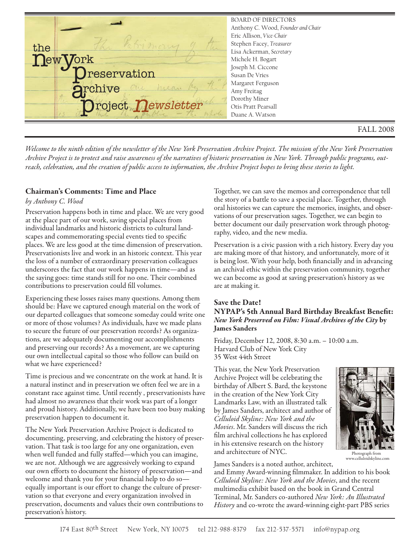

*Welcome to the ninth edition of the newsletter of the New York Preservation Archive Project. The mission of the New York Preservation Archive Project is to protect and raise awareness of the narratives of historic preservation in New York. Through public programs, outreach, celebration, and the creation of public access to information, the Archive Project hopes to bring these stories to light.*

## **Chairman's Comments: Time and Place**

### *by Anthony C. Wood*

Preservation happens both in time and place. We are very good at the place part of our work, saving special places from individual landmarks and historic districts to cultural landscapes and commemorating special events tied to specific places. We are less good at the time dimension of preservation. Preservationists live and work in an historic context. This year the loss of a number of extraordinary preservation colleagues underscores the fact that our work happens in time—and as the saying goes: time stands still for no one. Their combined contributions to preservation could fill volumes.

Experiencing these losses raises many questions. Among them should be: Have we captured enough material on the work of our departed colleagues that someone someday could write one or more of those volumes? As individuals, have we made plans to secure the future of our preservation records? As organizations, are we adequately documenting our accomplishments and preserving our records? As a movement, are we capturing our own intellectual capital so those who follow can build on what we have experienced?

Time is precious and we concentrate on the work at hand. It is a natural instinct and in preservation we often feel we are in a constant race against time. Until recently , preservationists have had almost no awareness that their work was part of a longer and proud history. Additionally, we have been too busy making preservation happen to document it.

The New York Preservation Archive Project is dedicated to documenting, preserving, and celebrating the history of preservation. That task is too large for any one organization, even when well funded and fully staffed—which you can imagine, we are not. Although we are aggressively working to expand our own efforts to document the history of preservation—and welcome and thank you for your financial help to do so equally important is our effort to change the culture of preservation so that everyone and every organization involved in preservation, documents and values their own contributions to preservation's history.

Together, we can save the memos and correspondence that tell the story of a battle to save a special place. Together, through oral histories we can capture the memories, insights, and observations of our preservation sages. Together, we can begin to better document our daily preservation work through photography, video, and the new media.

Preservation is a civic passion with a rich history. Every day you are making more of that history, and unfortunately, more of it is being lost. With your help, both financially and in advancing an archival ethic within the preservation community, together we can become as good at saving preservation's history as we are at making it.

### **Save the Date! NYPAP's 5th Annual Bard Birthday Breakfast Benefit:** *New York Preserved on Film: Visual Archives of the City* **by James Sanders**

Friday, December 12, 2008, 8:30 a.m. – 10:00 a.m. Harvard Club of New York City 35 West 44th Street

This year, the New York Preservation Archive Project will be celebrating the birthday of Albert S. Bard, the keystone in the creation of the New York City Landmarks Law, with an illustrated talk by James Sanders, architect and author of *Celluloid Skyline: New York and the Movies*. Mr. Sanders will discuss the rich film archival collections he has explored in his extensive research on the history and architecture of NYC.



Photograph from www.celluloidskyline.com

James Sanders is a noted author, architect,

and Emmy Award-winning filmmaker. In addition to his book *Celluloid Skyline: New York and the Movies*, and the recent multimedia exhibit based on the book in Grand Central Terminal, Mr. Sanders co-authored *New York: An Illustrated History* and co-wrote the award-winning eight-part PBS series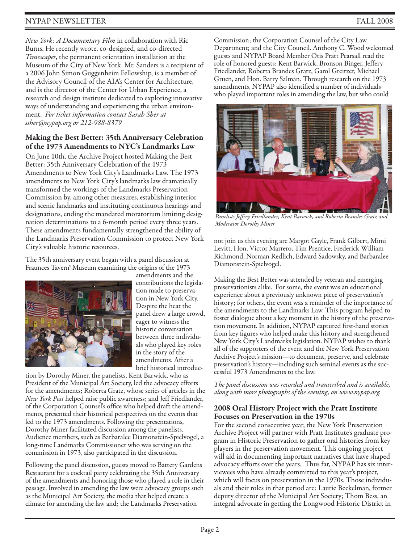# NYPAP NEWSLETTER FALL 2008

*New York: A Documentary Film* in collaboration with Ric Burns. He recently wrote, co-designed, and co-directed *Timescapes*, the permanent orientation installation at the Museum of the City of New York. Mr. Sanders is a recipient of a 2006 John Simon Guggenheim Fellowship, is a member of the Advisory Council of the AIA's Center for Architecture, and is the director of the Center for Urban Experience, a research and design institute dedicated to exploring innovative ways of understanding and experiencing the urban environment. *For ticket information contact Sarah Sher at ssher@nypap.org or 212-988-8379*

## **Making the Best Better: 35th Anniversary Celebration of the 1973 Amendments to NYC's Landmarks Law**

On June 10th, the Archive Project hosted Making the Best Better: 35th Anniversary Celebration of the 1973 Amendments to New York City's Landmarks Law. The 1973 amendments to New York City's landmarks law dramatically transformed the workings of the Landmarks Preservation Commission by, among other measures, establishing interior and scenic landmarks and instituting continuous hearings and designations, ending the mandated moratorium limiting designation determinations to a 6-month period every three years. These amendments fundamentally strengthened the ability of the Landmarks Preservation Commission to protect New York City's valuable historic resources.

The 35th anniversary event began with a panel discussion at Fraunces Tavern® Museum examining the origins of the 1973



amendments and the contributions the legislation made to preservation in New York City. Despite the heat the panel drew a large crowd, eager to witness the historic conversation between three individuals who played key roles in the story of the amendments. After a brief historical introduc-

tion by Dorothy Miner, the panelists, Kent Barwick, who as President of the Municipal Art Society, led the advocacy efforts for the amendments; Roberta Gratz, whose series of articles in the *New York Post* helped raise public awareness; and Jeff Friedlander, of the Corporation Counsel's office who helped draft the amendments, presented their historical perspectives on the events that led to the 1973 amendments. Following the presentations, Dorothy Miner facilitated discussion among the panelists. Audience members, such as Barbaralee Diamonstein-Spielvogel, a long-time Landmarks Commissioner who was serving on the commission in 1973, also participated in the discussion.

Following the panel discussion, guests moved to Battery Gardens Restaurant for a cocktail party celebrating the 35th Anniversary of the amendments and honoring those who played a role in their passage. Involved in amending the law were advocacy groups such as the Municipal Art Society, the media that helped create a climate for amending the law and; the Landmarks Preservation

Commission; the Corporation Counsel of the City Law Department; and the City Council. Anthony C. Wood welcomed guests and NYPAP Board Member Otis Pratt Pearsall read the role of honored guests: Kent Barwick, Bronson Binger, Jeffery Friedlander, Roberta Brandes Gratz, Garol Greitzer, Michael Gruen, and Hon. Barry Salman. Through research on the 1973 amendments, NYPAP also identified a number of individuals who played important roles in amending the law, but who could



*Panelists Jeffrey Friedlander, Kent Barwick, and Roberta Brandes Gratz and Moderator Dorothy Miner* 

not join us this evening are Margot Gayle, Frank Gilbert, Mimi Levitt, Hon. Victor Marrero, Tim Prentice, Frederick William Richmond, Norman Redlich, Edward Sadowsky, and Barbaralee Diamonstein-Spielvogel.

Making the Best Better was attended by veteran and emerging preservationists alike. For some, the event was an educational experience about a previously unknown piece of preservation's history; for others, the event was a reminder of the importance of the amendments to the Landmarks Law. This program helped to foster dialogue about a key moment in the history of the preservation movement. In addition, NYPAP captured first-hand stories from key figures who helped make this history and strengthened New York City's Landmarks legislation. NYPAP wishes to thank all of the supporters of the event and the New York Preservation Archive Project's mission—to document, preserve, and celebrate preservation's history—including such seminal events as the successful 1973 Amendments to the law.

*The panel discussion was recorded and transcribed and is available, along with more photographs of the evening, on www.nypap.org.*

## **2008 Oral History Project with the Pratt Institute Focuses on Preservation in the 1970s**

For the second consecutive year, the New York Preservation Archive Project will partner with Pratt Institute's graduate program in Historic Preservation to gather oral histories from key players in the preservation movement. This ongoing project will aid in documenting important narratives that have shaped advocacy efforts over the years. Thus far, NYPAP has six interviewees who have already committed to this year's project, which will focus on preservation in the 1970s. Those individuals and their roles in that period are: Laurie Beckelman, former deputy director of the Municipal Art Society; Thom Bess, an integral advocate in getting the Longwood Historic District in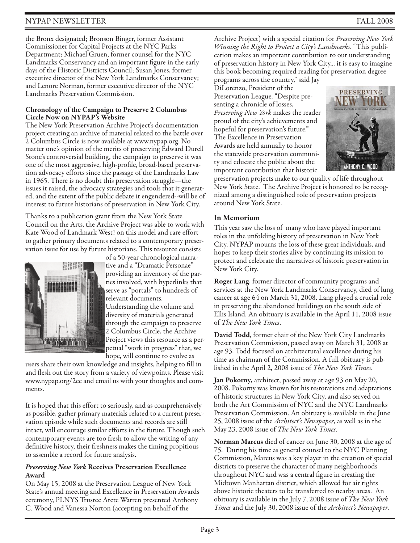# NYPAP NEWSLETTER FALL 2008

the Bronx designated; Bronson Binger, former Assistant Commissioner for Capital Projects at the NYC Parks Department; Michael Gruen, former counsel for the NYC Landmarks Conservancy and an important figure in the early days of the Historic Districts Council; Susan Jones, former executive director of the New York Landmarks Conservancy; and Lenore Norman, former executive director of the NYC Landmarks Preservation Commission.

#### **Chronology of the Campaign to Preserve 2 Columbus Circle Now on NYPAP's Website**

The New York Preservation Archive Project's documentation project creating an archive of material related to the battle over 2 Columbus Circle is now available at www.nypap.org. No matter one's opinion of the merits of preserving Edward Durell Stone's controversial building, the campaign to preserve it was one of the most aggressive, high-profile, broad-based preservation advocacy efforts since the passage of the Landmarks Law in 1965. There is no doubt this preservation struggle—the issues it raised, the advocacy strategies and tools that it generated, and the extent of the public debate it engendered--will be of interest to future historians of preservation in New York City.

Thanks to a publication grant from the New York State Council on the Arts, the Archive Project was able to work with Kate Wood of Landmark West! on this model and rare effort to gather primary documents related to a contemporary preservation issue for use by future historians. This resource consists



of a 50-year chronological narrative and a "Dramatic Personae" providing an inventory of the parties involved, with hyperlinks that serve as "portals" to hundreds of relevant documents. Understanding the volume and diversity of materials generated through the campaign to preserve 2 Columbus Circle, the Archive Project views this resource as a per-

petual "work in progress" that, we hope, will continue to evolve as

users share their own knowledge and insights, helping to fill in and flesh out the story from a variety of viewpoints. Please visit www.nypap.org/2cc and email us with your thoughts and comments.

It is hoped that this effort to seriously, and as comprehensively as possible, gather primary materials related to a current preservation episode while such documents and records are still intact, will encourage similar efforts in the future. Though such contemporary events are too fresh to allow the writing of any definitive history, their freshness makes the timing propitious to assemble a record for future analysis.

### *Preserving New York* **Receives Preservation Excellence Award**

On May 15, 2008 at the Preservation League of New York State's annual meeting and Excellence in Preservation Awards ceremony, PLNYS Trustee Arete Warren presented Anthony C. Wood and Vanessa Norton (accepting on behalf of the

Archive Project) with a special citation for *Preserving New York Winning the Right to Protect a City's Landmarks*. "This publication makes an important contribution to our understanding of preservation history in New York City... it is easy to imagine this book becoming required reading for preservation degree

programs across the country," said Jay DiLorenzo, President of the Preservation League. "Despite presenting a chronicle of losses, *Preserving New York* makes the reader proud of the city's achievements and hopeful for preservation's future." The Excellence in Preservation Awards are held annually to honor the statewide preservation community and educate the public about the important contribution that historic



preservation projects make to our quality of life throughout New York State. The Archive Project is honored to be recognized among a distinguished role of preservation projects around New York State.

## **In Memorium**

This year saw the loss of many who have played important roles in the unfolding history of preservation in New York City. NYPAP mourns the loss of these great individuals, and hopes to keep their stories alive by continuing its mission to protect and celebrate the narratives of historic preservation in New York City.

**Roger Lang**, former director of community programs and services at the New York Landmarks Conservancy, died of lung cancer at age 64 on March 31, 2008. Lang played a crucial role in preserving the abandoned buildings on the south side of Ellis Island. An obituary is available in the April 11, 2008 issue of *The New York Times*.

**David Todd**, former chair of the New York City Landmarks Preservation Commission, passed away on March 31, 2008 at age 93. Todd focused on architectural excellence during his time as chairman of the Commission. A full obituary is published in the April 2, 2008 issue of *The New York Times*.

**Jan Pokorny,** architect, passed away at age 93 on May 20, 2008. Pokorny was known for his restorations and adaptations of historic structures in New York City, and also served on both the Art Commission of NYC and the NYC Landmarks Preservation Commission. An obituary is available in the June 25, 2008 issue of the *Architect's Newspaper*, as well as in the May 23, 2008 issue of *The New York Times*.

**Norman Marcus** died of cancer on June 30, 2008 at the age of 75. During his time as general counsel to the NYC Planning Commission, Marcus was a key player in the creation of special districts to preserve the character of many neighborhoods throughout NYC and was a central figure in creating the Midtown Manhattan district, which allowed for air rights above historic theaters to be transferred to nearby areas. An obituary is available in the July 7, 2008 issue of *The New York Times* and the July 30, 2008 issue of the *Architect's Newspaper*.